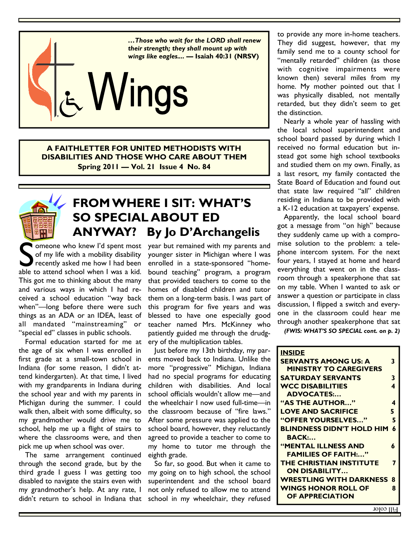

**A FAITHLETTER FOR UNITED METHODISTS WITH DISABILITIES AND THOSE WHO CARE ABOUT THEM Spring 2011 — Vol. 21 Issue 4 No. 84** 



# **FROM WHERE I SIT: WHAT'S SO SPECIAL ABOUT ED ANYWAY? By Jo D'Archangelis**

Someone who knew I'd spent most<br>of my life with a mobility disability<br>recently asked me how I had been<br>able to attend school when I was a kid. of my life with a mobility disability recently asked me how I had been able to attend school when I was a kid. This got me to thinking about the many and various ways in which I had received a school education "way back when"—long before there were such things as an ADA or an IDEA, least of all mandated "mainstreaming" or "special ed" classes in public schools.

 Formal education started for me at the age of six when I was enrolled in first grade at a small-town school in Indiana (for some reason, I didn't attend kindergarten). At that time, I lived with my grandparents in Indiana during the school year and with my parents in Michigan during the summer. I could walk then, albeit with some difficulty, so my grandmother would drive me to school, help me up a flight of stairs to where the classrooms were, and then pick me up when school was over.

 The same arrangement continued through the second grade, but by the third grade I guess I was getting too disabled to navigate the stairs even with my grandmother's help. At any rate, I

year but remained with my parents and younger sister in Michigan where I was enrolled in a state-sponsored "homebound teaching" program, a program that provided teachers to come to the homes of disabled children and tutor them on a long-term basis. I was part of this program for five years and was blessed to have one especially good teacher named Mrs. McKinney who patiently guided me through the drudgery of the multiplication tables.

 Just before my 13th birthday, my parents moved back to Indiana. Unlike the more "progressive" Michigan, Indiana had no special programs for educating children with disabilities. And local school officials wouldn't allow me—and the wheelchair I now used full-time—in the classroom because of "fire laws." After some pressure was applied to the school board, however, they reluctantly agreed to provide a teacher to come to my home to tutor me through the eighth grade.

didn't return to school in Indiana that school in my wheelchair, they refused So far, so good. But when it came to my going on to high school, the school superintendent and the school board not only refused to allow me to attend

to provide any more in-home teachers. They did suggest, however, that my family send me to a county school for "mentally retarded" children (as those with cognitive impairments were known then) several miles from my home. My mother pointed out that I was physically disabled, not mentally retarded, but they didn't seem to get the distinction.

 Nearly a whole year of hassling with the local school superintendent and school board passed by during which I received no formal education but instead got some high school textbooks and studied them on my own. Finally, as a last resort, my family contacted the State Board of Education and found out that state law required "all" children residing in Indiana to be provided with a K-12 education at taxpayers' expense.

 Apparently, the local school board got a message from "on high" because they suddenly came up with a compromise solution to the problem: a telephone intercom system. For the next four years, I stayed at home and heard everything that went on in the classroom through a speakerphone that sat on my table. When I wanted to ask or answer a question or participate in class discussion, I flipped a switch and everyone in the classroom could hear me through another speakerphone that sat

*(FWIS: WHAT'S SO SPECIAL cont. on p. 2)* 

| <b>INSIDE</b>                                |   |
|----------------------------------------------|---|
| <b>SERVANTS AMONG US: A</b>                  | 3 |
| <b>MINISTRY TO CAREGIVERS</b>                |   |
| <b>SATURDAY SERVANTS</b>                     | 3 |
| <b>WCC DISABILITIES</b>                      | 4 |
| <b>ADVOCATES:</b>                            |   |
| "AS THE AUTHOR"                              | 4 |
| <b>LOVE AND SACRIFICE</b>                    | 5 |
| "OFFER YOURSELVES"                           | 5 |
| <b>BLINDNESS DIDN'T HOLD HIM</b>             | 6 |
| $\mathbf{B}\mathbf{A}\mathbf{C}\mathbf{K}$ : |   |
| <b>"MENTAL ILLNESS AND</b>                   | 6 |
| <b>FAMILIES OF FAITH:"</b>                   |   |
| <b>THE CHRISTIAN INSTITUTE</b>               | 7 |
| <b>ON DISABILITY</b>                         |   |
| <b>WRESTLING WITH DARKNESS</b>               | 8 |
| <b>WINGS HONOR ROLL OF</b>                   | 8 |
| OF APPRECIATION                              |   |
| нии соют.                                    |   |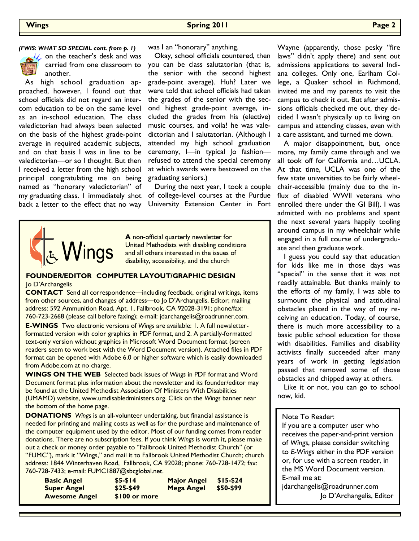

**C** on the teacher's desk and was carried from one classroom to another.

 As high school graduation approached, however, I found out that school officials did not regard an intercom education to be on the same level as an in-school education. The class valedictorian had always been selected on the basis of the highest grade-point average in required academic subjects, and on that basis I was in line to be valedictorian—or so I thought. But then I received a letter from the high school principal congratulating me on being named as "honorary valedictorian" of back a letter to the effect that no way was I an "honorary" anything.

 Okay, school officials countered, then you can be class salutatorian (that is, the senior with the second highest grade-point average). Huh? Later we were told that school officials had taken the grades of the senior with the second highest grade-point average, included the grades from his (elective) music courses, and voila! he was valedictorian and I salutatorian. (Although I attended my high school graduation ceremony, I—in typical Jo fashion refused to attend the special ceremony at which awards were bestowed on the graduating seniors.)

 During the next year, I took a couple my graduating class. I immediately shot of college-level courses at the Purdue University Extension Center in Fort



**A** non-official quarterly newsletter for United Methodists with disabling conditions and all others interested in the issues of disability, accessibility, and the church

### **FOUNDER/EDITOR COMPUTER LAYOUT/GRAPHIC DESIGN**  Jo D'Archangelis

**CONTACT** Send all correspondence—including feedback, original writings, items from other sources, and changes of address—to Jo D'Archangelis, Editor; mailing address: 592 Ammunition Road, Apt. 1, Fallbrook, CA 92028-3191; phone/fax: 760-723-2668 (please call before faxing); e-mail: jdarchangelis@roadrunner.com.

**E-WINGS** Two electronic versions of *Wings* are available: 1. A full newsletterformatted version with color graphics in PDF format, and 2. A partially-formatted text-only version without graphics in Microsoft Word Document format (screen readers seem to work best with the Word Document version). Attached files in PDF format can be opened with Adobe 6.0 or higher software which is easily downloaded from Adobe.com at no charge.

**WINGS ON THE WEB** Selected back issues of *Wings* in PDF format and Word Document format plus information about the newsletter and its founder/editor may be found at the United Methodist Association Of Ministers With Disabilities (UMAMD) website, www.umdisabledministers.org. Click on the *Wings* banner near the bottom of the home page.

**DONATIONS** *Wings* is an all-volunteer undertaking, but financial assistance is needed for printing and mailing costs as well as for the purchase and maintenance of the computer equipment used by the editor. Most of our funding comes from reader donations. There are no subscription fees. If you think *Wings* is worth it, please make out a check or money order payable to "Fallbrook United Methodist Church" (or "FUMC"), mark it "Wings," and mail it to Fallbrook United Methodist Church; church address: 1844 Winterhaven Road, Fallbrook, CA 92028; phone: 760-728-1472; fax: 760-728-7433; e-mail: FUMC1887@sbcglobal.net.

| <b>Basic Angel</b>   | $$5-514$       | <b>Major Angel</b> | $$15-524$ |
|----------------------|----------------|--------------------|-----------|
| <b>Super Angel</b>   | $$25-549$      | Mega Angel         | \$50-\$99 |
| <b>Awesome Angel</b> | $$100$ or more |                    |           |

(FWIS: WHAT SO SPECIAL cont. from p. 1) was I an "honorary" anything. Wayne (apparently, those pesky "fire laws" didn't apply there) and sent out admissions applications to several Indiana colleges. Only one, Earlham College, a Quaker school in Richmond, invited me and my parents to visit the campus to check it out. But after admissions officials checked me out, they decided I wasn't physically up to living on campus and attending classes, even with a care assistant, and turned me down.

> A major disappointment, but, once more, my family came through and we all took off for California and…UCLA. At that time, UCLA was one of the few state universities to be fairly wheelchair-accessible (mainly due to the influx of disabled WWll veterans who enrolled there under the GI Bill). I was admitted with no problems and spent the next several years happily tooling around campus in my wheelchair while engaged in a full course of undergraduate and then graduate work.

> I guess you could say that education for kids like me in those days was "special" in the sense that it was not readily attainable. But thanks mainly to the efforts of my family, I was able to surmount the physical and attitudinal obstacles placed in the way of my receiving an education. Today, of course, there is much more accessibility to a basic public school education for those with disabilities. Families and disability activists finally succeeded after many years of work in getting legislation passed that removed some of those obstacles and chipped away at others.

> Like it or not, you can go to school now, kid.

## Note To Reader:

If you are a computer user who receives the paper-and-print version of *Wings*, please consider switching to *E-Wings* either in the PDF version or, for use with a screen reader, in the MS Word Document version. E-mail me at:

jdarchangelis@roadrunner.com

Jo D'Archangelis, Editor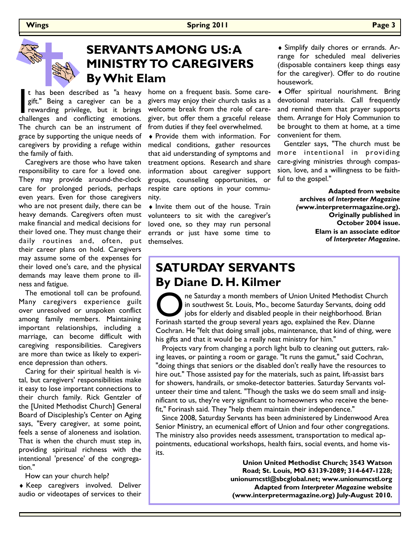

# **SERVANTS AMONG US: A MINISTRY TO CAREGIVERS By Whit Elam**

t has been described as "a heavy<br>gift." Being a caregiver can be a<br>rewarding privilege, but it brings<br>challenges and conflicting emotions. gift." Being a caregiver can be a rewarding privilege, but it brings challenges and conflicting emotions. The church can be an instrument of grace by supporting the unique needs of caregivers by providing a refuge within the family of faith.

 Caregivers are those who have taken responsibility to care for a loved one. They may provide around-the-clock care for prolonged periods, perhaps even years. Even for those caregivers who are not present daily, there can be heavy demands. Caregivers often must make financial and medical decisions for their loved one. They must change their daily routines and, often, put their career plans on hold. Caregivers may assume some of the expenses for their loved one's care, and the physical demands may leave them prone to illness and fatigue.

 The emotional toll can be profound. Many caregivers experience guilt over unresolved or unspoken conflict among family members. Maintaining important relationships, including a marriage, can become difficult with caregiving responsibilities. Caregivers are more than twice as likely to experience depression than others.

 Caring for their spiritual health is vital, but caregivers' responsibilities make it easy to lose important connections to their church family. Rick Gentzler of the [United Methodist Church] General Board of Discipleship's Center on Aging says, "Every caregiver, at some point, feels a sense of aloneness and isolation. That is when the church must step in, providing spiritual richness with the intentional 'presence' of the congregation."

How can your church help?

♦ Keep caregivers involved. Deliver audio or videotapes of services to their

home on a frequent basis. Some caregivers may enjoy their church tasks as a welcome break from the role of caregiver, but offer them a graceful release from duties if they feel overwhelmed.

♦ Provide them with information. For medical conditions, gather resources that aid understanding of symptoms and treatment options. Research and share information about caregiver support groups, counseling opportunities, or respite care options in your community.

♦ Invite them out of the house. Train volunteers to sit with the caregiver's loved one, so they may run personal errands or just have some time to themselves.

♦ Simplify daily chores or errands. Arrange for scheduled meal deliveries (disposable containers keep things easy for the caregiver). Offer to do routine housework.

♦ Offer spiritual nourishment. Bring devotional materials. Call frequently and remind them that prayer supports them. Arrange for Holy Communion to be brought to them at home, at a time convenient for them.

 Gentzler says, "The church must be more intentional in providing care-giving ministries through compassion, love, and a willingness to be faithful to the gospel."

> **Adapted from website archives of** *Interpreter Magazine (***www.interpretermagazine.org). Originally published in October 2004 issue. Elam is an associate editor of** *Interpreter Magazine***.**

## **SATURDAY SERVANTS By Diane D. H. Kilmer**

The Saturday a month members of Union United Methodist Church<br>in southwest St. Louis, Mo., become Saturday Servants, doing odd<br>jobs for elderly and disabled people in their neighborhood. Brian<br>Forinash started the group se in southwest St. Louis, Mo., become Saturday Servants, doing odd jobs for elderly and disabled people in their neighborhood. Brian Forinash started the group several years ago, explained the Rev. Dianne Cochran. He "felt that doing small jobs, maintenance, that kind of thing, were his gifts and that it would be a really neat ministry for him."

 Projects vary from changing a porch light bulb to cleaning out gutters, raking leaves, or painting a room or garage. "It runs the gamut," said Cochran, "doing things that seniors or the disabled don't really have the resources to hire out." Those assisted pay for the materials, such as paint, lift-assist bars for showers, handrails, or smoke-detector batteries. Saturday Servants volunteer their time and talent. "Though the tasks we do seem small and insignificant to us, they're very significant to homeowners who receive the benefit," Forinash said. They "help them maintain their independence."

 Since 2008, Saturday Servants has been administered by Lindenwood Area Senior Ministry, an ecumenical effort of Union and four other congregations. The ministry also provides needs assessment, transportation to medical appointments, educational workshops, health fairs, social events, and home visits.

> **Union United Methodist Church; 3543 Watson Road; St. Louis, MO 63139-2089; 314-647-1228; unionumcstl@sbcglobal.net; www.unionumcstl.org Adapted from** *Interpreter Magazine* **website (www.interpretermagazine.org) July-August 2010.**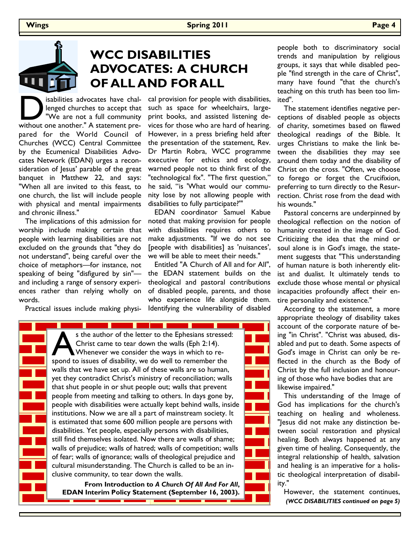

# **WCC DISABILITIES ADVOCATES: A CHURCH OF ALL AND FOR ALL**

sabilities advocates have challenged churches to accept that "We are not a full community without one another." A statement prelenged churches to accept that "We are not a full community pared for the World Council of Churches (WCC) Central Committee by the Ecumenical Disabilities Advocates Network (EDAN) urges a reconsideration of Jesus' parable of the great banquet in Matthew 22, and says: "When all are invited to this feast, to one church, the list will include people with physical and mental impairments and chronic illness."

 The implications of this admission for worship include making certain that people with learning disabilities are not excluded on the grounds that "they do not understand", being careful over the choice of metaphors—for instance, not speaking of being "disfigured by sin" and including a range of sensory experiences rather than relying wholly on words.

Practical issues include making physi-

isabilities advocates have chal- cal provision for people with disabilities, such as space for wheelchairs, largeprint books, and assisted listening devices for those who are hard of hearing. However, in a press briefing held after the presentation of the statement, Rev. Dr Martin Robra, WCC programme executive for ethics and ecology, warned people not to think first of the "technological fix". "The first question," he said, "is 'What would our community lose by not allowing people with disabilities to fully participate?'"

> EDAN coordinator Samuel Kabue noted that making provision for people with disabilities requires others to make adjustments. "If we do not see [people with disabilities] as 'nuisances', we will be able to meet their needs."

> Entitled "A Church of All and for All", the EDAN statement builds on the theological and pastoral contributions of disabled people, parents, and those who experience life alongside them. Identifying the vulnerability of disabled

<u> Tanzania di Basa di Basa di Basa di Basa di Basa di Basa di Basa di Basa di Basa di Basa di Basa di Basa di B</u> s the author of the letter to the Ephesians stressed: Christ came to tear down the walls (Eph 2:14). Whenever we consider the ways in which to respond to issues of disability, we do well to remember the walls that we have set up. All of these walls are so human, yet they contradict Christ's ministry of reconciliation; walls that shut people in or shut people out; walls that prevent people from meeting and talking to others. In days gone by, people with disabilities were actually kept behind walls, inside institutions. Now we are all a part of mainstream society. It is estimated that some 600 million people are persons with disabilities. Yet people, especially persons with disabilities, still find themselves isolated. Now there are walls of shame; walls of prejudice; walls of hatred; walls of competition; walls of fear; walls of ignorance; walls of theological prejudice and cultural misunderstanding. The Church is called to be an inclusive community, to tear down the walls.

**From Introduction to** *A Church Of All And For All***, EDAN Interim Policy Statement (September 16, 2003).** people both to discriminatory social trends and manipulation by religious groups, it says that while disabled people "find strength in the care of Christ", many have found "that the church's teaching on this truth has been too limited".

 The statement identifies negative perceptions of disabled people as objects of charity, sometimes based on flawed theological readings of the Bible. It urges Christians to make the link between the disabilities they may see around them today and the disability of Christ on the cross. "Often, we choose to forego or forget the Crucifixion, preferring to turn directly to the Resurrection. Christ rose from the dead with his wounds."

 Pastoral concerns are underpinned by theological reflection on the notion of humanity created in the image of God. Criticizing the idea that the mind or soul alone is in God's image, the statement suggests that "This understanding of human nature is both inherently elitist and dualist. It ultimately tends to exclude those whose mental or physical incapacities profoundly affect their entire personality and existence."

 According to the statement, a more appropriate theology of disability takes account of the corporate nature of being "in Christ". "Christ was abused, disabled and put to death. Some aspects of God's image in Christ can only be reflected in the church as the Body of Christ by the full inclusion and honouring of those who have bodies that are likewise impaired."

 This understanding of the Image of God has implications for the church's teaching on healing and wholeness. "Jesus did not make any distinction between social restoration and physical healing. Both always happened at any given time of healing. Consequently, the integral relationship of health, salvation and healing is an imperative for a holistic theological interpretation of disability."

 However, the statement continues, *(WCC DISABILITIES continued on page 5)*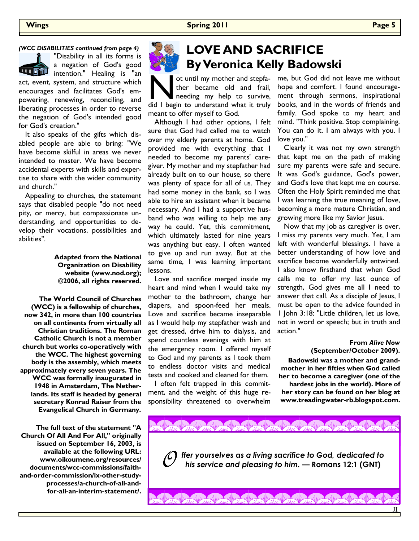## *(WCC DISABILITIES continued from page 4)*

"Disability in all its forms is a negation of God's good **THE ST** intention." Healing is "an act, event, system, and structure which encourages and facilitates God's empowering, renewing, reconciling, and liberating processes in order to reverse the negation of God's intended good for God's creation."

 It also speaks of the gifts which disabled people are able to bring: "We have become skilful in areas we never intended to master. We have become accidental experts with skills and expertise to share with the wider community and church."

 Appealing to churches, the statement says that disabled people "do not need pity, or mercy, but compassionate understanding, and opportunities to develop their vocations, possibilities and abilities".

> **Adapted from the National Organization on Disability website (www.nod.org); ©2006, all rights reserved.**

**The World Council of Churches (WCC) is a fellowship of churches, now 342, in more than 100 countries on all continents from virtually all Christian traditions. The Roman Catholic Church is not a member church but works co-operatively with the WCC. The highest governing body is the assembly, which meets approximately every seven years. The WCC was formally inaugurated in 1948 in Amsterdam, The Netherlands. Its staff is headed by general secretary Konrad Raiser from the Evangelical Church in Germany.** 

**The full text of the statement "A Church Of All And For All," originally issued on September 16, 2003, is available at the following URL: www.oikoumene.org/resources/ documents/wcc-commissions/faithand-order-commission/ix-other-studyprocesses/a-church-of-all-andfor-all-an-interim-statement/.**

# **LOVE AND SACRIFICE By Veronica Kelly Badowski**

ot until my mother and stepfa-<br>ther became old and frail,<br>did I begin to understand what it truly ther became old and frail, needing my help to survive, meant to offer myself to God.

 Although I had other options, I felt sure that God had called me to watch over my elderly parents at home. God provided me with everything that I needed to become my parents' caregiver. My mother and my stepfather had already built on to our house, so there was plenty of space for all of us. They had some money in the bank, so I was able to hire an assistant when it became necessary. And I had a supportive husband who was willing to help me any way he could. Yet, this commitment, which ultimately lasted for nine years was anything but easy. I often wanted to give up and run away. But at the same time, I was learning important lessons.

 Love and sacrifice merged inside my heart and mind when I would take my mother to the bathroom, change her diapers, and spoon-feed her meals. Love and sacrifice became inseparable as I would help my stepfather wash and get dressed, drive him to dialysis, and spend countless evenings with him at the emergency room. I offered myself to God and my parents as I took them to endless doctor visits and medical tests and cooked and cleaned for them.

 I often felt trapped in this commitment, and the weight of this huge responsibility threatened to overwhelm me, but God did not leave me without hope and comfort. I found encouragement through sermons, inspirational books, and in the words of friends and family. God spoke to my heart and mind. "Think positive. Stop complaining. You can do it. I am always with you. I love you."

 Clearly it was not my own strength that kept me on the path of making sure my parents were safe and secure. It was God's guidance, God's power, and God's love that kept me on course. Often the Holy Spirit reminded me that I was learning the true meaning of love, becoming a more mature Christian, and growing more like my Savior Jesus.

 Now that my job as caregiver is over, I miss my parents very much. Yet, I am left with wonderful blessings. I have a better understanding of how love and sacrifice become wonderfully entwined. I also know firsthand that when God calls me to offer my last ounce of strength, God gives me all I need to answer that call. As a disciple of Jesus, I must be open to the advice founded in 1 John 3:18: "Little children, let us love, not in word or speech; but in truth and action."

### **From** *Alive Now* **(September/October 2009).**

If

**Badowski was a mother and grandmother in her fifties when God called her to become a caregiver (one of the hardest jobs in the world). More of her story can be found on her blog at www.treadingwater-rb.blogspot.com.** 

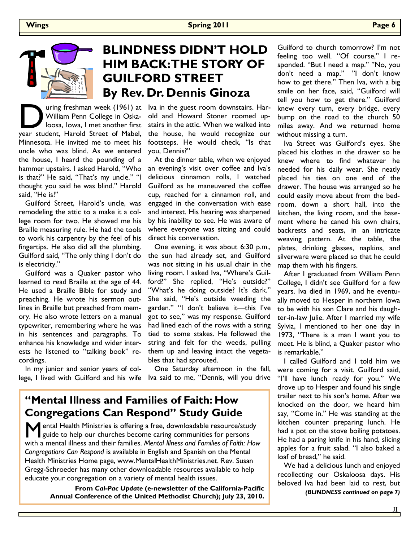

# **BLINDNESS DIDN'T HOLD HIM BACK: THE STORY OF GUILFORD STREET By Rev. Dr. Dennis Ginoza**

**D** uring freshman week (1961) at William Penn College in Oska-loosa, Iowa, I met another first year student, Harold Street of Mabel, William Penn College in Oskaloosa, Iowa, I met another first Minnesota. He invited me to meet his uncle who was blind. As we entered the house, I heard the pounding of a hammer upstairs. I asked Harold, "Who is that?" He said, "That's my uncle." "I thought you said he was blind." Harold said, "He is!"

 Guilford Street, Harold's uncle, was remodeling the attic to a make it a college room for two. He showed me his Braille measuring rule. He had the tools to work his carpentry by the feel of his fingertips. He also did all the plumbing. Guilford said, "The only thing I don't do is electricity."

 Guilford was a Quaker pastor who learned to read Braille at the age of 44. He used a Braille Bible for study and preaching. He wrote his sermon outlines in Braille but preached from memory. He also wrote letters on a manual typewriter, remembering where he was in his sentences and paragraphs. To enhance his knowledge and wider interests he listened to "talking book" recordings.

 In my junior and senior years of college, I lived with Guilford and his wife lva said to me, "Dennis, will you drive

uring freshman week (1961) at lva in the guest room downstairs. Harold and Howard Stoner roomed upstairs in the attic. When we walked into the house, he would recognize our footsteps. He would check, "Is that you, Dennis?"

> At the dinner table, when we enjoyed an evening's visit over coffee and Iva's delicious cinnamon rolls, I watched Guilford as he maneuvered the coffee cup, reached for a cinnamon roll, and engaged in the conversation with ease and interest. His hearing was sharpened by his inability to see. He was aware of where everyone was sitting and could direct his conversation.

> One evening, it was about 6:30 p.m., the sun had already set, and Guilford was not sitting in his usual chair in the living room. I asked Iva, "Where's Guilford?" She replied, "He's outside?" "What's he doing outside? It's dark." She said, "He's outside weeding the garden." "I don't believe it—this I've got to see," was my response. Guilford had lined each of the rows with a string tied to some stakes. He followed the string and felt for the weeds, pulling them up and leaving intact the vegetables that had sprouted.

One Saturday afternoon in the fall,

## **"Mental Illness and Families of Faith: How Congregations Can Respond" Study Guide**

**M** ental Health Ministries is offering a free, downloadable resource/study guide to help our churches become caring communities for persons with a mental illness and their families. *Mental Illness and Families of Faith: How Congregations Can Respond* is available in English and Spanish on the Mental Health Ministries Home page, www.MentalHealthMinistries.net. Rev. Susan Gregg-Schroeder has many other downloadable resources available to help educate your congregation on a variety of mental health issues.

> **From** *Cal-Pac Update* **(e-newsletter of the California-Pacific Annual Conference of the United Methodist Church); July 23, 2010.**

Guilford to church tomorrow? I'm not feeling too well. "Of course," I responded. "But I need a map." "No, you don't need a map." "I don't know how to get there." Then Iva, with a big smile on her face, said, "Guilford will tell you how to get there." Guilford knew every turn, every bridge, every bump on the road to the church 50 miles away. And we returned home without missing a turn.

 Iva Street was Guilford's eyes. She placed his clothes in the drawer so he knew where to find whatever he needed for his daily wear. She neatly placed his ties on one end of the drawer. The house was arranged so he could easily move about from the bedroom, down a short hall, into the kitchen, the living room, and the basement where he caned his own chairs, backrests and seats, in an intricate weaving pattern. At the table, the plates, drinking glasses, napkins, and silverware were placed so that he could map them with his fingers.

 After I graduated from William Penn College, I didn't see Guilford for a few years. Iva died in 1969, and he eventually moved to Hesper in northern Iowa to be with his son Clare and his daughter-in-law Julie. After I married my wife Sylvia, I mentioned to her one day in 1973, "There is a man I want you to meet. He is blind, a Quaker pastor who is remarkable."

 I called Guilford and I told him we were coming for a visit. Guilford said, "I'll have lunch ready for you." We drove up to Hesper and found his single trailer next to his son's home. After we knocked on the door, we heard him say, "Come in." He was standing at the kitchen counter preparing lunch. He had a pot on the stove boiling potatoes. He had a paring knife in his hand, slicing apples for a fruit salad. "I also baked a loaf of bread," he said.

 We had a delicious lunch and enjoyed recollecting our Oskaloosa days. His beloved Iva had been laid to rest, but *(BLINDNESS continued on page 7)* 

If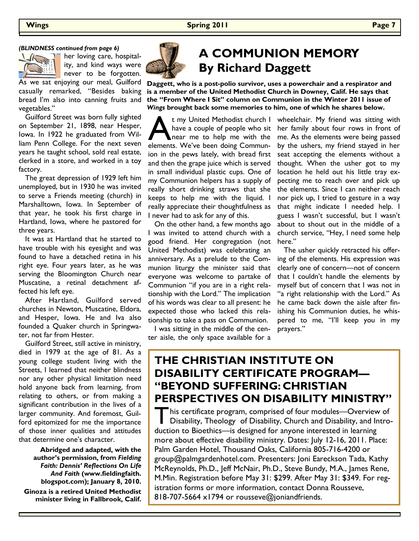### *(BLINDNESS continued from page 6)*



her loving care, hospitality, and kind ways were never to be forgotten.

As we sat enjoying our meal, Guilford casually remarked, "Besides baking bread I'm also into canning fruits and vegetables."

 Guilford Street was born fully sighted on September 21, 1898, near Hesper, Iowa. In 1922 he graduated from William Penn College. For the next seven years he taught school, sold real estate, clerked in a store, and worked in a toy factory.

 The great depression of 1929 left him unemployed, but in 1930 he was invited to serve a Friends meeting (church) in Marshalltown, Iowa. In September of that year, he took his first charge in Hartland, Iowa, where he pastored for three years.

 It was at Hartland that he started to have trouble with his eyesight and was found to have a detached retina in his right eye. Four years later, as he was serving the Bloomington Church near Muscatine, a retinal detachment affected his left eye.

 After Hartland, Guilford served churches in Newton, Muscatine, Eldora, and Hesper, Iowa. He and Iva also founded a Quaker church in Springwater, not far from Hester.

 Guilford Street, still active in ministry, died in 1979 at the age of 81. As a young college student living with the Streets, I learned that neither blindness nor any other physical limitation need hold anyone back from learning, from relating to others, or from making a significant contribution in the lives of a larger community. And foremost, Guilford epitomized for me the importance of those inner qualities and attitudes that determine one's character.

> **Abridged and adapted, with the author's permission, from** *Fielding Faith: Dennis' Reflections On Life And Faith* **(www.fieldingfaith. blogspot.com); January 8, 2010.**

**Ginoza is a retired United Methodist minister living in Fallbrook, Calif.**



# **A COMMUNION MEMORY By Richard Daggett**

**Daggett, who is a post-polio survivor, uses a powerchair and a respirator and is a member of the United Methodist Church in Downey, Calif. He says that the "From Where I Sit" column on Communion in the Winter 2011 issue of**  *Wings* **brought back some memories to him, one of which he shares below.** 

t my United Methodist church I<br>have a couple of people who sit<br>near me to help me with the<br>elements. We've been doing Communhave a couple of people who sit near me to help me with the ion in the pews lately, with bread first and then the grape juice which is served in small individual plastic cups. One of my Communion helpers has a supply of really short drinking straws that she keeps to help me with the liquid. I really appreciate their thoughtfulness as I never had to ask for any of this.

 On the other hand, a few months ago I was invited to attend church with a good friend. Her congregation (not United Methodist) was celebrating an anniversary. As a prelude to the Communion liturgy the minister said that everyone was welcome to partake of Communion "if you are in a right relationship with the Lord." The implication of his words was clear to all present: he expected those who lacked this relationship to take a pass on Communion.

 I was sitting in the middle of the center aisle, the only space available for a wheelchair. My friend was sitting with her family about four rows in front of me. As the elements were being passed by the ushers, my friend stayed in her seat accepting the elements without a thought. When the usher got to my location he held out his little tray expecting me to reach over and pick up the elements. Since I can neither reach nor pick up, I tried to gesture in a way that might indicate I needed help. I guess I wasn't successful, but I wasn't about to shout out in the middle of a church service, "Hey, I need some help here."

 The usher quickly retracted his offering of the elements. His expression was clearly one of concern—not of concern that I couldn't handle the elements by myself but of concern that I was not in "a right relationship with the Lord." As he came back down the aisle after finishing his Communion duties, he whispered to me, "I'll keep you in my prayers."

## **THE CHRISTIAN INSTITUTE ON DISABILITY CERTIFICATE PROGRAM— "BEYOND SUFFERING: CHRISTIAN PERSPECTIVES ON DISABILITY MINISTRY"**

This certificate program, comprised of four modules—Overview of<br>Disability, Theology of Disability, Church and Disability, and Introduction to Bioethics—is designed for anyone interested in learning more about effective disability ministry. Dates: July 12-16, 2011. Place: Palm Garden Hotel, Thousand Oaks, California 805-716-4200 or group@palmgardenhotel.com. Presenters: Joni Eareckson Tada, Kathy McReynolds, Ph.D., Jeff McNair, Ph.D., Steve Bundy, M.A., James Rene, M.Min. Registration before May 31: \$299. After May 31: \$349. For registration forms or more information, contact Donna Rousseve, 818-707-5664 x1794 or rousseve@joniandfriends.